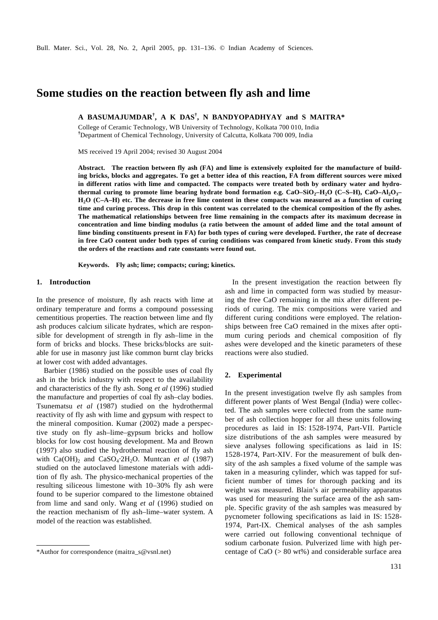# **Some studies on the reaction between fly ash and lime**

**A BASUMAJUMDAR† , A K DAS† , N BANDYOPADHYAY and S MAITRA\***

College of Ceramic Technology, WB University of Technology, Kolkata 700 010, India **†**Department of Chemical Technology, University of Calcutta, Kolkata 700 009, India

MS received 19 April 2004; revised 30 August 2004

**Abstract. The reaction between fly ash (FA) and lime is extensively exploited for the manufacture of building bricks, blocks and aggregates. To get a better idea of this reaction, FA from different sources were mixed in different ratios with lime and compacted. The compacts were treated both by ordinary water and hydrothermal curing to promote lime bearing hydrate bond formation e.g. CaO–SiO<sub>2</sub>–H<sub>2</sub>O (C–S–H), CaO–Al<sub>2</sub>O<sub>3</sub>– H2O (C–A–H) etc. The decrease in free lime content in these compacts was measured as a function of curing time and curing process. This drop in this content was correlated to the chemical composition of the fly ashes. The mathematical relationships between free lime remaining in the compacts after its maximum decrease in concentration and lime binding modulus (a ratio between the amount of added lime and the total amount of lime binding constituents present in FA) for both types of curing were developed. Further, the rate of decrease in free CaO content under both types of curing conditions was compared from kinetic study. From this study the orders of the reactions and rate constants were found out.**

**Keywords. Fly ash; lime; compacts; curing; kinetics.**

#### **1. Introduction**

In the presence of moisture, fly ash reacts with lime at ordinary temperature and forms a compound possessing cementitious properties. The reaction between lime and fly ash produces calcium silicate hydrates, which are responsible for development of strength in fly ash–lime in the form of bricks and blocks. These bricks/blocks are suitable for use in masonry just like common burnt clay bricks at lower cost with added advantages.

Barbier (1986) studied on the possible uses of coal fly ash in the brick industry with respect to the availability and characteristics of the fly ash. Song *et al* (1996) studied the manufacture and properties of coal fly ash–clay bodies. Tsunematsu *et al* (1987) studied on the hydrothermal reactivity of fly ash with lime and gypsum with respect to the mineral composition. Kumar (2002) made a perspective study on fly ash–lime–gypsum bricks and hollow blocks for low cost housing development. Ma and Brown (1997) also studied the hydrothermal reaction of fly ash with Ca(OH)<sub>2</sub> and CaSO<sub>4</sub>⋅2H<sub>2</sub>O. Muntcan *et al* (1987) studied on the autoclaved limestone materials with addition of fly ash. The physico-mechanical properties of the resulting siliceous limestone with 10–30% fly ash were found to be superior compared to the limestone obtained from lime and sand only. Wang *et al* (1996) studied on the reaction mechanism of fly ash–lime–water system. A model of the reaction was established.

In the present investigation the reaction between fly ash and lime in compacted form was studied by measuring the free CaO remaining in the mix after different periods of curing. The mix compositions were varied and different curing conditions were employed. The relationships between free CaO remained in the mixes after optimum curing periods and chemical composition of fly ashes were developed and the kinetic parameters of these reactions were also studied.

### **2. Experimental**

In the present investigation twelve fly ash samples from different power plants of West Bengal (India) were collected. The ash samples were collected from the same number of ash collection hopper for all these units following procedures as laid in IS: 1528-1974, Part-VII. Particle size distributions of the ash samples were measured by sieve analyses following specifications as laid in IS: 1528-1974, Part-XIV. For the measurement of bulk density of the ash samples a fixed volume of the sample was taken in a measuring cylinder, which was tapped for sufficient number of times for thorough packing and its weight was measured. Blain's air permeability apparatus was used for measuring the surface area of the ash sample. Specific gravity of the ash samples was measured by pycnometer following specifications as laid in IS: 1528- 1974, Part-IX. Chemical analyses of the ash samples were carried out following conventional technique of sodium carbonate fusion. Pulverized lime with high per- \*Author for correspondence (maitra\_s@vsnl.net) centage of CaO (> 80 wt%) and considerable surface area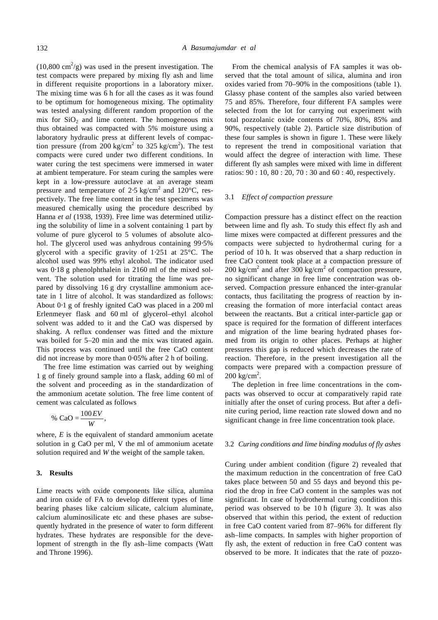$(10,800 \text{ cm}^2/\text{g})$  was used in the present investigation. The test compacts were prepared by mixing fly ash and lime in different requisite proportions in a laboratory mixer. The mixing time was 6 h for all the cases as it was found to be optimum for homogeneous mixing. The optimality was tested analysing different random proportion of the mix for  $SiO<sub>2</sub>$  and lime content. The homogeneous mix thus obtained was compacted with 5% moisture using a laboratory hydraulic press at different levels of compaction pressure (from 200 kg/cm<sup>2</sup> to 325 kg/cm<sup>2</sup>). The test compacts were cured under two different conditions. In water curing the test specimens were immersed in water at ambient temperature. For steam curing the samples were kept in a low-pressure autoclave at an average steam pressure and temperature of 2⋅5 kg/cm<sup>2</sup> and 120°C, respectively. The free lime content in the test specimens was measured chemically using the procedure described by Hanna *et al* (1938, 1939). Free lime was determined utilizing the solubility of lime in a solvent containing 1 part by volume of pure glycerol to 5 volumes of absolute alcohol. The glycerol used was anhydrous containing 99⋅5% glycerol with a specific gravity of 1⋅251 at 25°C. The alcohol used was 99% ethyl alcohol. The indicator used was 0⋅18 g phenolphthalein in 2160 ml of the mixed solvent. The solution used for titrating the lime was prepared by dissolving 16 g dry crystalline ammonium acetate in 1 litre of alcohol. It was standardized as follows: About 0⋅1 g of freshly ignited CaO was placed in a 200 ml Erlenmeyer flask and 60 ml of glycerol–ethyl alcohol solvent was added to it and the CaO was dispersed by shaking. A reflux condenser was fitted and the mixture was boiled for 5–20 min and the mix was titrated again. This process was continued until the free CaO content did not increase by more than 0⋅05% after 2 h of boiling.

The free lime estimation was carried out by weighing 1 g of finely ground sample into a flask, adding 60 ml of the solvent and proceeding as in the standardization of the ammonium acetate solution. The free lime content of cement was calculated as follows

$$
\% \text{ CaO} = \frac{100 \text{ EV}}{W},
$$

where, *E* is the equivalent of standard ammonium acetate solution in g CaO per ml, V the ml of ammonium acetate solution required and *W* the weight of the sample taken.

### **3. Results**

Lime reacts with oxide components like silica, alumina and iron oxide of FA to develop different types of lime bearing phases like calcium silicate, calcium aluminate, calcium aluminosilicate etc and these phases are subsequently hydrated in the presence of water to form different hydrates. These hydrates are responsible for the development of strength in the fly ash–lime compacts (Watt and Throne 1996).

From the chemical analysis of FA samples it was observed that the total amount of silica, alumina and iron oxides varied from 70–90% in the compositions (table 1). Glassy phase content of the samples also varied between 75 and 85%. Therefore, four different FA samples were selected from the lot for carrying out experiment with total pozzolanic oxide contents of 70%, 80%, 85% and 90%, respectively (table 2). Particle size distribution of these four samples is shown in figure 1. These were likely to represent the trend in compositional variation that would affect the degree of interaction with lime. These different fly ash samples were mixed with lime in different ratios: 90 : 10, 80 : 20, 70 : 30 and 60 : 40, respectively.

### 3.1 *Effect of compaction pressure*

Compaction pressure has a distinct effect on the reaction between lime and fly ash. To study this effect fly ash and lime mixes were compacted at different pressures and the compacts were subjected to hydrothermal curing for a period of 10 h. It was observed that a sharp reduction in free CaO content took place at a compaction pressure of 200 kg/cm<sup>2</sup> and after 300 kg/cm<sup>2</sup> of compaction pressure, no significant change in free lime concentration was observed. Compaction pressure enhanced the inter-granular contacts, thus facilitating the progress of reaction by increasing the formation of more interfacial contact areas between the reactants. But a critical inter-particle gap or space is required for the formation of different interfaces and migration of the lime bearing hydrated phases formed from its origin to other places. Perhaps at higher pressures this gap is reduced which decreases the rate of reaction. Therefore, in the present investigation all the compacts were prepared with a compaction pressure of  $200 \text{ kg/cm}^2$ .

The depletion in free lime concentrations in the compacts was observed to occur at comparatively rapid rate initially after the onset of curing process. But after a definite curing period, lime reaction rate slowed down and no significant change in free lime concentration took place.

#### 3.2 *Curing conditions and lime binding modulus of fly ashes*

Curing under ambient condition (figure 2) revealed that the maximum reduction in the concentration of free CaO takes place between 50 and 55 days and beyond this period the drop in free CaO content in the samples was not significant. In case of hydrothermal curing condition this period was observed to be 10 h (figure 3). It was also observed that within this period, the extent of reduction in free CaO content varied from 87–96% for different fly ash–lime compacts. In samples with higher proportion of fly ash, the extent of reduction in free CaO content was observed to be more. It indicates that the rate of pozzo-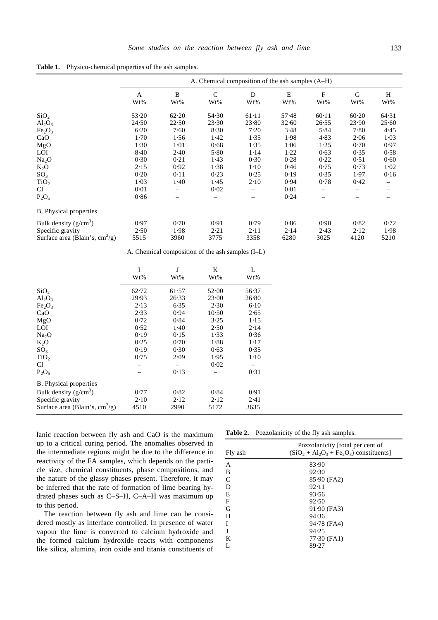**Table 1.** Physico-chemical properties of the ash samples.

|                                   | A. Chemical composition of the ash samples (A–H) |                       |                                  |                       |                       |                     |                       |                                |
|-----------------------------------|--------------------------------------------------|-----------------------|----------------------------------|-----------------------|-----------------------|---------------------|-----------------------|--------------------------------|
|                                   | A<br>Wt%                                         | B<br>W <sub>t</sub> % | $\mathsf{C}$<br>W <sub>t</sub> % | D<br>W <sub>t</sub> % | E<br>W <sub>t</sub> % | $\mathbf{F}$<br>Wt% | G<br>W <sub>t</sub> % | H<br>W <sub>t</sub> %          |
| SiO <sub>2</sub>                  | 53.20                                            | 62.20                 | 54.30                            | 61.11                 | 57.48                 | 60.11               | 60.20                 | 64.31                          |
| $Al_2O_3$                         | 24.50                                            | 22.50                 | 23.30                            | 23.80                 | 32.60                 | 26.55               | 23.90                 | 25.60                          |
| Fe <sub>2</sub> O <sub>3</sub>    | 6.20                                             | 7.60                  | 8.30                             | 7.20                  | 3.48                  | 5.84                | 7.80                  | 4.45                           |
| CaO                               | 1.70                                             | 1.56                  | 1.42                             | 1.35                  | 1.98                  | 4.83                | 2.06                  | 1.03                           |
| MgO                               | 1.30                                             | 1.01                  | 0.68                             | 1.35                  | 1.06                  | 1.25                | 0.70                  | 0.97                           |
| <b>LOI</b>                        | 8.40                                             | 2.40                  | 5.80                             | 1.14                  | 1.22                  | 0.63                | 0.35                  | 0.58                           |
| Na <sub>2</sub> O                 | 0.30                                             | 0.21                  | 1.43                             | 0.30                  | 0.28                  | 0.22                | 0.51                  | 0.60                           |
| $K_2O$                            | 2.15                                             | 0.92                  | 1.38                             | $1-10$                | 0.46                  | 0.75                | 0.73                  | 1.02                           |
| SO <sub>3</sub>                   | 0.20                                             | 0.11                  | 0.23                             | 0.25                  | 0.19                  | 0.35                | 1.97                  | 0.16                           |
| TiO <sub>2</sub>                  | 1.03                                             | 1.40                  | 1.45                             | 2.10                  | 0.94                  | 0.78                | 0.42                  |                                |
| C <sub>1</sub>                    | 0.01                                             |                       | 0.02                             |                       | 0.01                  |                     |                       | $\qquad \qquad \longleftarrow$ |
| $P_2O_5$                          | 0.86                                             |                       |                                  |                       | 0.24                  |                     |                       |                                |
| B. Physical properties            |                                                  |                       |                                  |                       |                       |                     |                       |                                |
| Bulk density $(g/cm^3)$           | 0.97                                             | 0.70                  | 0.91                             | 0.79                  | 0.86                  | 0.90                | 0.82                  | 0.72                           |
| Specific gravity                  | 2.50                                             | 1.98                  | 2.21                             | 2.11                  | 2.14                  | 2.43                | 2.12                  | 1.98                           |
| Surface area (Blain's, $cm^2/g$ ) | 5515                                             | 3960                  | 3775                             | 3358                  | 6280                  | 3025                | 4120                  | 5210                           |

A. Chemical composition of the ash samples (I–L)

|                                                 | I<br>W <sub>t</sub> % | J<br>W <sub>t</sub> % | K<br>W <sub>t</sub> % | L<br>W <sub>t</sub> % |
|-------------------------------------------------|-----------------------|-----------------------|-----------------------|-----------------------|
| SiO <sub>2</sub>                                | 62.72                 | 61.57                 | 52.00                 | 56.37                 |
| $Al_2O_3$                                       | 29.93                 | 26.33                 | 23.00                 | 26.80                 |
| Fe <sub>2</sub> O <sub>3</sub>                  | 2.13                  | 6.35                  | 2.30                  | 6.10                  |
| CaO                                             | 2.33                  | 0.94                  | 10.50                 | 2.65                  |
| MgO                                             | 0.72                  | 0.84                  | 3.25                  | 1.15                  |
| LOI                                             | 0.52                  | 1.40                  | 2.50                  | 2.14                  |
| Na <sub>2</sub> O                               | 0.19                  | 0.15                  | 1.33                  | 0.36                  |
| $K_2O$                                          | 0.25                  | 0.70                  | 1.88                  | 1.17                  |
| SO <sub>3</sub>                                 | 0.19                  | 0.30                  | 0.63                  | 0.35                  |
| TiO <sub>2</sub>                                | 0.75                  | 2.09                  | 1.95                  | $1-10$                |
| Cl                                              |                       |                       | 0.02                  |                       |
| $P_2O_5$                                        |                       | 0.13                  |                       | 0.31                  |
| B. Physical properties                          |                       |                       |                       |                       |
| Bulk density $(g/cm^3)$                         | 0.77                  | 0.82                  | 0.84                  | 0.91                  |
| Specific gravity                                | 2.10                  | 2.12                  | 2.12                  | 2.41                  |
| Surface area (Blain's, $\text{cm}^2/\text{g}$ ) | 4510                  | 2990                  | 5172                  | 3635                  |

lanic reaction between fly ash and CaO is the maximum up to a critical curing period. The anomalies observed in the intermediate regions might be due to the difference in reactivity of the FA samples, which depends on the particle size, chemical constituents, phase compositions, and the nature of the glassy phases present. Therefore, it may be inferred that the rate of formation of lime bearing hydrated phases such as C–S–H, C–A–H was maximum up to this period.

The reaction between fly ash and lime can be considered mostly as interface controlled. In presence of water vapour the lime is converted to calcium hydroxide and the formed calcium hydroxide reacts with components like silica, alumina, iron oxide and titania constituents of

**Table 2.** Pozzolanicity of the fly ash samples.

|               | <b>rabic <math>\mathbf{z}_i</math>.</b> FOLLORATION of the Hy ash samples. |
|---------------|----------------------------------------------------------------------------|
| Fly ash       | Pozzolanicity [total per cent of<br>$(SiO2 + Al2O3 + Fe2O3)$ constituents] |
| A             | 83.90                                                                      |
| B             | 92.30                                                                      |
| $\mathcal{C}$ | 85.90 (FA2)                                                                |
| D             | 92.11                                                                      |
| E             | 93.56                                                                      |
| F             | 92.50                                                                      |
| G             | 91.90 (FA3)                                                                |
| H             | 94.36                                                                      |
| I             | 94.78 (FA4)                                                                |
| J             | 94.25                                                                      |
| K             | $77.30$ (FA1)                                                              |
| L             | 89.27                                                                      |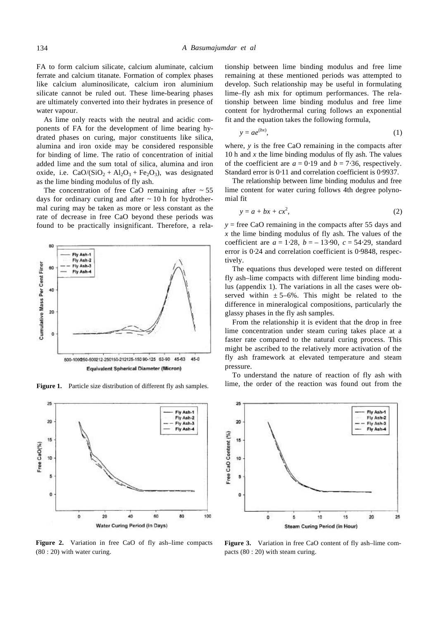FA to form calcium silicate, calcium aluminate, calcium ferrate and calcium titanate. Formation of complex phases like calcium aluminosilicate, calcium iron aluminium silicate cannot be ruled out. These lime-bearing phases are ultimately converted into their hydrates in presence of water vapour.

As lime only reacts with the neutral and acidic components of FA for the development of lime bearing hydrated phases on curing, major constituents like silica, alumina and iron oxide may be considered responsible for binding of lime. The ratio of concentration of initial added lime and the sum total of silica, alumina and iron oxide, i.e.  $CaO/(SiO<sub>2</sub> + Al<sub>2</sub>O<sub>3</sub> + Fe<sub>2</sub>O<sub>3</sub>)$ , was designated as the lime binding modulus of fly ash.

The concentration of free CaO remaining after  $\sim$  55 days for ordinary curing and after  $\sim$  10 h for hydrothermal curing may be taken as more or less constant as the rate of decrease in free CaO beyond these periods was found to be practically insignificant. Therefore, a rela-





Figure 2. Variation in free CaO of fly ash-lime compacts (80 : 20) with water curing.

tionship between lime binding modulus and free lime remaining at these mentioned periods was attempted to develop. Such relationship may be useful in formulating lime–fly ash mix for optimum performances. The relationship between lime binding modulus and free lime content for hydrothermal curing follows an exponential fit and the equation takes the following formula,

$$
y = ae^{(bx)},\tag{1}
$$

where, *y* is the free CaO remaining in the compacts after 10 h and *x* the lime binding modulus of fly ash. The values of the coefficient are  $a = 0.19$  and  $b = 7.36$ , respectively. Standard error is 0⋅11 and correlation coefficient is 0⋅9937.

The relationship between lime binding modulus and free lime content for water curing follows 4th degree polynomial fit

$$
y = a + bx + cx^2,
$$
 (2)

 $y =$  free CaO remaining in the compacts after 55 days and *x* the lime binding modulus of fly ash. The values of the coefficient are  $a = 1.28$ ,  $b = -13.90$ ,  $c = 54.29$ , standard error is 0⋅24 and correlation coefficient is 0⋅9848, respectively.

The equations thus developed were tested on different fly ash–lime compacts with different lime binding modulus (appendix 1). The variations in all the cases were observed within  $\pm 5{\text -}6\%$ . This might be related to the difference in mineralogical compositions, particularly the glassy phases in the fly ash samples.

From the relationship it is evident that the drop in free lime concentration under steam curing takes place at a faster rate compared to the natural curing process. This might be ascribed to the relatively more activation of the fly ash framework at elevated temperature and steam pressure.

To understand the nature of reaction of fly ash with Figure 1. Particle size distribution of different fly ash samples. lime, the order of the reaction was found out from the



Figure 3. Variation in free CaO content of fly ash-lime compacts (80 : 20) with steam curing.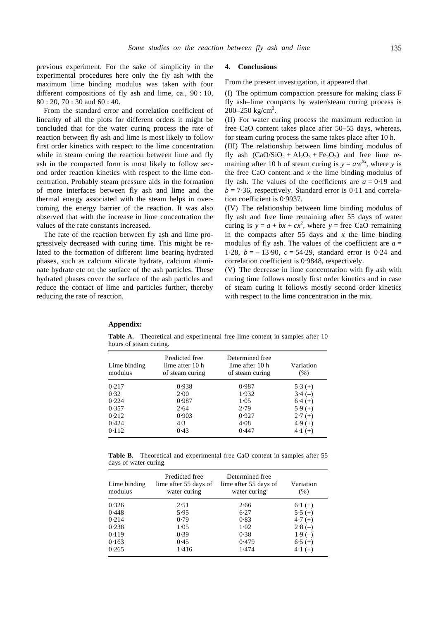previous experiment. For the sake of simplicity in the experimental procedures here only the fly ash with the maximum lime binding modulus was taken with four different compositions of fly ash and lime, ca., 90 : 10, 80 : 20, 70 : 30 and 60 : 40.

From the standard error and correlation coefficient of linearity of all the plots for different orders it might be concluded that for the water curing process the rate of reaction between fly ash and lime is most likely to follow first order kinetics with respect to the lime concentration while in steam curing the reaction between lime and fly ash in the compacted form is most likely to follow second order reaction kinetics with respect to the lime concentration. Probably steam pressure aids in the formation of more interfaces between fly ash and lime and the thermal energy associated with the steam helps in overcoming the energy barrier of the reaction. It was also observed that with the increase in lime concentration the values of the rate constants increased.

The rate of the reaction between fly ash and lime progressively decreased with curing time. This might be related to the formation of different lime bearing hydrated phases, such as calcium silicate hydrate, calcium aluminate hydrate etc on the surface of the ash particles. These hydrated phases cover the surface of the ash particles and reduce the contact of lime and particles further, thereby reducing the rate of reaction.

#### **4. Conclusions**

From the present investigation, it appeared that

(I) The optimum compaction pressure for making class F fly ash–lime compacts by water/steam curing process is 200–250 kg/cm<sup>2</sup>.

(II) For water curing process the maximum reduction in free CaO content takes place after 50–55 days, whereas, for steam curing process the same takes place after 10 h.

(III) The relationship between lime binding modulus of fly ash  $(CaO/SiO<sub>2</sub> + Al<sub>2</sub>O<sub>3</sub> + Fe<sub>2</sub>O<sub>3</sub>)$  and free lime remaining after 10 h of steam curing is  $y = a\mathbf{e}^{bx}$ , where *y* is the free CaO content and *x* the lime binding modulus of fly ash. The values of the coefficients are  $a = 0.19$  and  $b = 7.36$ , respectively. Standard error is 0⋅11 and correlation coefficient is 0⋅9937.

(IV) The relationship between lime binding modulus of fly ash and free lime remaining after 55 days of water curing is  $y = a + bx + cx^2$ , where  $y =$  free CaO remaining in the compacts after 55 days and  $x$  the lime binding modulus of fly ash. The values of the coefficient are  $a =$ 1⋅28, *b* = – 13⋅90, *c* = 54⋅29, standard error is 0⋅24 and correlation coefficient is 0⋅9848, respectively.

(V) The decrease in lime concentration with fly ash with curing time follows mostly first order kinetics and in case of steam curing it follows mostly second order kinetics with respect to the lime concentration in the mix.

#### **Appendix:**

**Table A.** Theoretical and experimental free lime content in samples after 10 hours of steam curing.

| Lime binding<br>modulus | Predicted free<br>lime after 10 h<br>of steam curing | Determined free<br>lime after 10 h<br>of steam curing | Variation<br>$(\%)$ |
|-------------------------|------------------------------------------------------|-------------------------------------------------------|---------------------|
| 0.217                   | 0.938                                                | 0.987                                                 | $5.3(+)$            |
| 0.32                    | 2.00                                                 | 1.932                                                 | $3.4(-)$            |
| 0.224                   | 0.987                                                | 1.05                                                  | $6.4 (+)$           |
| 0.357                   | 2.64                                                 | 2.79                                                  | $5.9(+)$            |
| 0.212                   | 0.903                                                | 0.927                                                 | $2.7(+)$            |
| 0.424                   | 4.3                                                  | 4.08                                                  | $4.9(+)$            |
| 0.112                   | 0.43                                                 | 0.447                                                 | $4.1 (+)$           |

**Table B.** Theoretical and experimental free CaO content in samples after 55 days of water curing.

| Lime binding<br>modulus | Predicted free<br>lime after 55 days of<br>water curing | Determined free<br>lime after 55 days of<br>water curing | Variation<br>(% ) |
|-------------------------|---------------------------------------------------------|----------------------------------------------------------|-------------------|
| 0.326                   | 2.51                                                    | 2.66                                                     | $6.1 (+)$         |
| 0.448                   | 5.95                                                    | 6.27                                                     | $5.5(+)$          |
| 0.214                   | 0.79                                                    | 0.83                                                     | $4.7(+)$          |
| 0.238                   | 1.05                                                    | 1.02                                                     | $2.8(-)$          |
| 0.119                   | 0.39                                                    | 0.38                                                     | $1.9(-)$          |
| 0.163                   | 0.45                                                    | 0.479                                                    | $6.5 (+)$         |
| 0.265                   | 1.416                                                   | 1.474                                                    | $4.1 (+)$         |